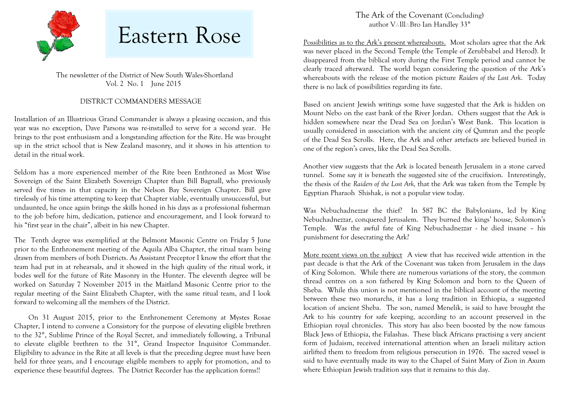

 The newsletter of the District of New South Wales-Shortland Vol. 2 No. 1 June 2015

#### DISTRICT COMMANDERS MESSAGE

Installation of an Illustrious Grand Commander is always a pleasing occasion, and this year was no exception, Dave Parsons was re-installed to serve for a second year. He brings to the post enthusiasm and a longstanding affection for the Rite. He was brought up in the strict school that is New Zealand masonry, and it shows in his attention to detail in the ritual work.

Seldom has a more experienced member of the Rite been Enthroned as Most Wise Sovereign of the Saint Elizabeth Sovereign Chapter than Bill Bagnall, who previously served five times in that capacity in the Nelson Bay Sovereign Chapter. Bill gave tirelessly of his time attempting to keep that Chapter viable, eventually unsuccessful, but undaunted, he once again brings the skills honed in his days as a professional fisherman to the job before him, dedication, patience and encouragement, and I look forward to his "first year in the chair", albeit in his new Chapter.

The Tenth degree was exemplified at the Belmont Masonic Centre on Friday 5 June prior to the Enthronement meeting of the Aquila Alba Chapter, the ritual team being drawn from members of both Districts. As Assistant Preceptor I know the effort that the team had put in at rehearsals, and it showed in the high quality of the ritual work, it bodes well for the future of Rite Masonry in the Hunter. The eleventh degree will be worked on Saturday 7 November 2015 in the Maitland Masonic Centre prior to the regular meeting of the Saint Elizabeth Chapter, with the same ritual team, and I look forward to welcoming all the members of the District.

On 31 August 2015, prior to the Enthronement Ceremony at Mystes Rosae Chapter, I intend to convene a Consistory for the purpose of elevating eligible brethren to the 32°, Sublime Prince of the Royal Secret, and immediately following, a Tribunal to elevate eligible brethren to the 31°, Grand Inspector Inquisitor Commander. Eligibility to advance in the Rite at all levels is that the preceding degree must have been held for three years, and I encourage eligible members to apply for promotion, and to experience these beautiful degrees. The District Recorder has the application forms!!

The Ark of the Covenant (Concluding) author V: Ill: Bro Ian Handley 33°

Possibilities as to the Ark's present whereabouts. Most scholars agree that the Ark was never placed in the Second Temple (the Temple of Zerubbabel and Herod). It disappeared from the biblical story during the First Temple period and cannot be clearly traced afterward. The world began considering the question of the Ark's whereabouts with the release of the motion picture *Raiders of the Lost Ark*. Today there is no lack of possibilities regarding its fate.

Based on ancient Jewish writings some have suggested that the Ark is hidden on Mount Nebo on the east bank of the River Jordan. Others suggest that the Ark is hidden somewhere near the Dead Sea on Jordan's West Bank. This location is usually considered in association with the ancient city of Qumran and the people of the Dead Sea Scrolls. Here, the Ark and other artefacts are believed buried in one of the region's caves, like the Dead Sea Scrolls.

Another view suggests that the Ark is located beneath Jerusalem in a stone carved tunnel. Some say it is beneath the suggested site of the crucifixion. Interestingly, the thesis of the *Raiders of the Lost Ark,* that the Ark was taken from the Temple by Egyptian Pharaoh Shishak, is not a popular view today.

Was Nebuchadnezzar the thief? In 587 BC the Babylonians, led by King Nebuchadnezzar, conquered Jerusalem. They burned the kings' house, Solomon's Temple. Was the awful fate of King Nebuchadnezzar - he died insane – his punishment for desecrating the Ark?

More recent views on the subject A view that has received wide attention in the past decade is that the Ark of the Covenant was taken from Jerusalem in the days of King Solomon. While there are numerous variations of the story, the common thread centres on a son fathered by King Solomon and born to the Queen of Sheba. While this union is not mentioned in the biblical account of the meeting between these two monarchs, it has a long tradition in Ethiopia, a suggested location of ancient Sheba. The son, named Menelik, is said to have brought the Ark to his country for safe keeping, according to an account preserved in the Ethiopian royal chronicles. This story has also been boosted by the now famous Black Jews of Ethiopia, the Falashas. These black Africans practising a very ancient form of Judaism, received international attention when an Israeli military action airlifted them to freedom from religious persecution in 1976. The sacred vessel is said to have eventually made its way to the Chapel of Saint Mary of Zion in Axum where Ethiopian Jewish tradition says that it remains to this day.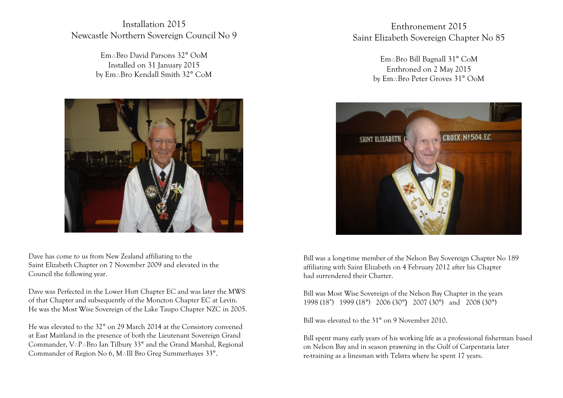Installation 2015 Newcastle Northern Sovereign Council No 9

> Em: Bro David Parsons 32° OoM Installed on 31 January 2015 by Em: Bro Kendall Smith 32° CoM



Dave has come to us from New Zealand affiliating to the Saint Elizabeth Chapter on 7 November 2009 and elevated in the Council the following year.

Dave was Perfected in the Lower Hutt Chapter EC and was later the MWS of that Chapter and subsequently of the Moncton Chapter EC at Levin. He was the Most Wise Sovereign of the Lake Taupo Chapter NZC in 2005.

He was elevated to the 32° on 29 March 2014 at the Consistory convened at East Maitland in the presence of both the Lieutenant Sovereign Grand Commander, V.P.Bro Ian Tilbury 33° and the Grand Marshal, Regional Commander of Region No 6, M. Ill Bro Greg Summerhayes 33°.

Enthronement 2015 Saint Elizabeth Sovereign Chapter No 85

> Em: Bro Bill Bagnall 31° CoM Enthroned on 2 May 2015 by Em: Bro Peter Groves 31° OoM



Bill was a long-time member of the Nelson Bay Sovereign Chapter No 189 affiliating with Saint Elizabeth on 4 February 2012 after his Chapter had surrendered their Charter.

Bill was Most Wise Sovereign of the Nelson Bay Chapter in the years 1998 (18˚) 1999 (18°) 2006 (30°) 2007 (30°) and 2008 (30°)

Bill was elevated to the 31° on 9 November 2010.

Bill spent many early years of his working life as a professional fisherman based on Nelson Bay and in season prawning in the Gulf of Carpentaria later re-training as a linesman with Telstra where he spent 17 years.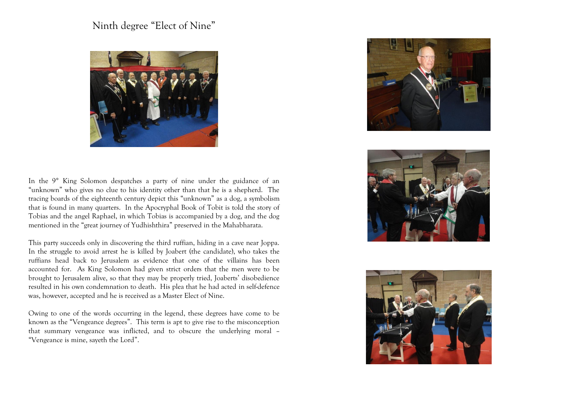# Ninth degree "Elect of Nine"



In the 9° King Solomon despatches a party of nine under the guidance of an "unknown" who gives no clue to his identity other than that he is a shepherd. The tracing boards of the eighteenth century depict this "unknown" as a dog, a symbolism that is found in many quarters. In the Apocryphal Book of Tobit is told the story of Tobias and the angel Raphael, in which Tobias is accompanied by a dog, and the dog mentioned in the "great journey of Yudhishthira" preserved in the Mahabharata.

This party succeeds only in discovering the third ruffian, hiding in a cave near Joppa. In the struggle to avoid arrest he is killed by Joabert (the candidate), who takes the ruffians head back to Jerusalem as evidence that one of the villains has been accounted for. As King Solomon had given strict orders that the men were to be brought to Jerusalem alive, so that they may be properly tried, Joaberts' disobedience resulted in his own condemnation to death. His plea that he had acted in self-defence was, however, accepted and he is received as a Master Elect of Nine.

Owing to one of the words occurring in the legend, these degrees have come to be known as the "Vengeance degrees". This term is apt to give rise to the misconception that summary vengeance was inflicted, and to obscure the underlying moral – "Vengeance is mine, sayeth the Lord".